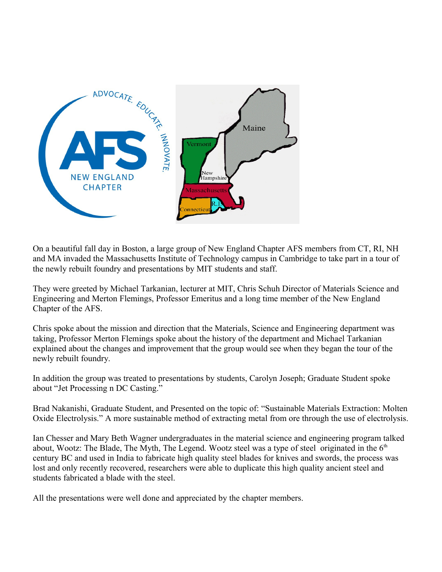

On a beautiful fall day in Boston, a large group of New England Chapter AFS members from CT, RI, NH and MA invaded the Massachusetts Institute of Technology campus in Cambridge to take part in a tour of the newly rebuilt foundry and presentations by MIT students and staff.

They were greeted by Michael Tarkanian, lecturer at MIT, Chris Schuh Director of Materials Science and Engineering and Merton Flemings, Professor Emeritus and a long time member of the New England Chapter of the AFS.

Chris spoke about the mission and direction that the Materials, Science and Engineering department was taking, Professor Merton Flemings spoke about the history of the department and Michael Tarkanian explained about the changes and improvement that the group would see when they began the tour of the newly rebuilt foundry.

In addition the group was treated to presentations by students, Carolyn Joseph; Graduate Student spoke about "Jet Processing n DC Casting."

Brad Nakanishi, Graduate Student, and Presented on the topic of: "Sustainable Materials Extraction: Molten Oxide Electrolysis." A more sustainable method of extracting metal from ore through the use of electrolysis.

Ian Chesser and Mary Beth Wagner undergraduates in the material science and engineering program talked about, Wootz: The Blade, The Myth, The Legend. Wootz steel was a type of steel originated in the  $6<sup>th</sup>$ century BC and used in India to fabricate high quality steel blades for knives and swords, the process was lost and only recently recovered, researchers were able to duplicate this high quality ancient steel and students fabricated a blade with the steel.

All the presentations were well done and appreciated by the chapter members.